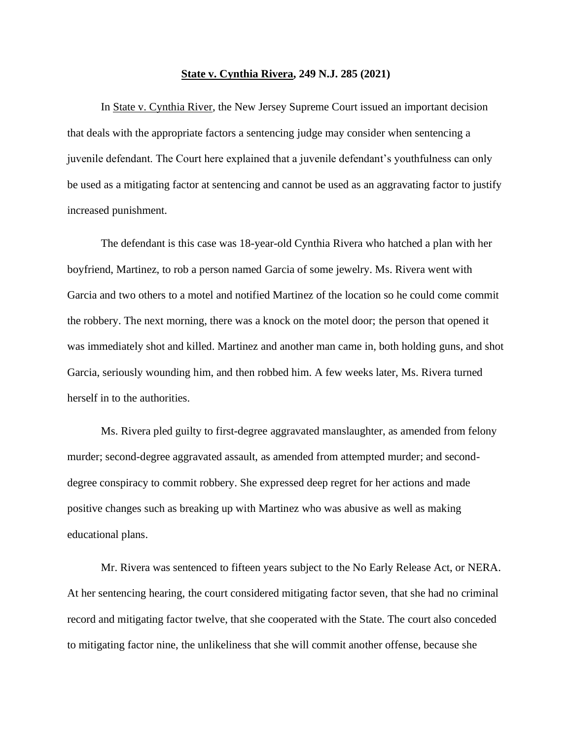## **State v. Cynthia Rivera, 249 N.J. 285 (2021)**

In State v. Cynthia River, the New Jersey Supreme Court issued an important decision that deals with the appropriate factors a sentencing judge may consider when sentencing a juvenile defendant. The Court here explained that a juvenile defendant's youthfulness can only be used as a mitigating factor at sentencing and cannot be used as an aggravating factor to justify increased punishment.

The defendant is this case was 18-year-old Cynthia Rivera who hatched a plan with her boyfriend, Martinez, to rob a person named Garcia of some jewelry. Ms. Rivera went with Garcia and two others to a motel and notified Martinez of the location so he could come commit the robbery. The next morning, there was a knock on the motel door; the person that opened it was immediately shot and killed. Martinez and another man came in, both holding guns, and shot Garcia, seriously wounding him, and then robbed him. A few weeks later, Ms. Rivera turned herself in to the authorities.

Ms. Rivera pled guilty to first-degree aggravated manslaughter, as amended from felony murder; second-degree aggravated assault, as amended from attempted murder; and seconddegree conspiracy to commit robbery. She expressed deep regret for her actions and made positive changes such as breaking up with Martinez who was abusive as well as making educational plans.

Mr. Rivera was sentenced to fifteen years subject to the No Early Release Act, or NERA. At her sentencing hearing, the court considered mitigating factor seven, that she had no criminal record and mitigating factor twelve, that she cooperated with the State. The court also conceded to mitigating factor nine, the unlikeliness that she will commit another offense, because she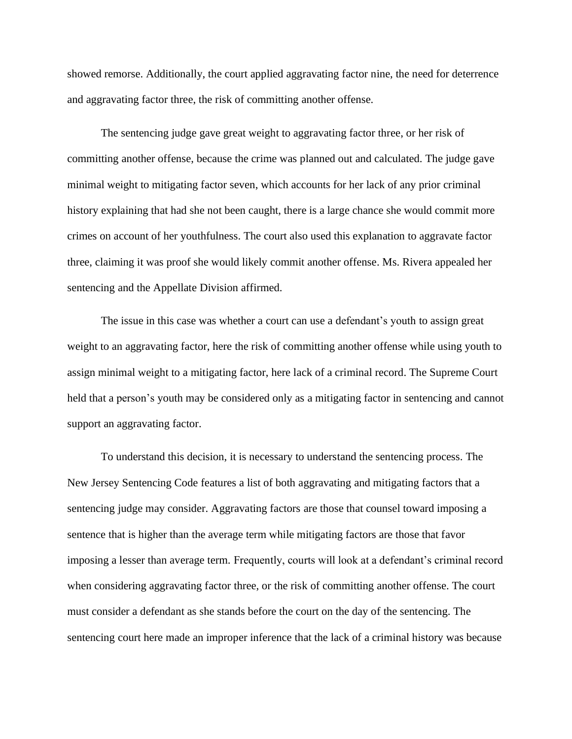showed remorse. Additionally, the court applied aggravating factor nine, the need for deterrence and aggravating factor three, the risk of committing another offense.

The sentencing judge gave great weight to aggravating factor three, or her risk of committing another offense, because the crime was planned out and calculated. The judge gave minimal weight to mitigating factor seven, which accounts for her lack of any prior criminal history explaining that had she not been caught, there is a large chance she would commit more crimes on account of her youthfulness. The court also used this explanation to aggravate factor three, claiming it was proof she would likely commit another offense. Ms. Rivera appealed her sentencing and the Appellate Division affirmed.

The issue in this case was whether a court can use a defendant's youth to assign great weight to an aggravating factor, here the risk of committing another offense while using youth to assign minimal weight to a mitigating factor, here lack of a criminal record. The Supreme Court held that a person's youth may be considered only as a mitigating factor in sentencing and cannot support an aggravating factor.

To understand this decision, it is necessary to understand the sentencing process. The New Jersey Sentencing Code features a list of both aggravating and mitigating factors that a sentencing judge may consider. Aggravating factors are those that counsel toward imposing a sentence that is higher than the average term while mitigating factors are those that favor imposing a lesser than average term. Frequently, courts will look at a defendant's criminal record when considering aggravating factor three, or the risk of committing another offense. The court must consider a defendant as she stands before the court on the day of the sentencing. The sentencing court here made an improper inference that the lack of a criminal history was because